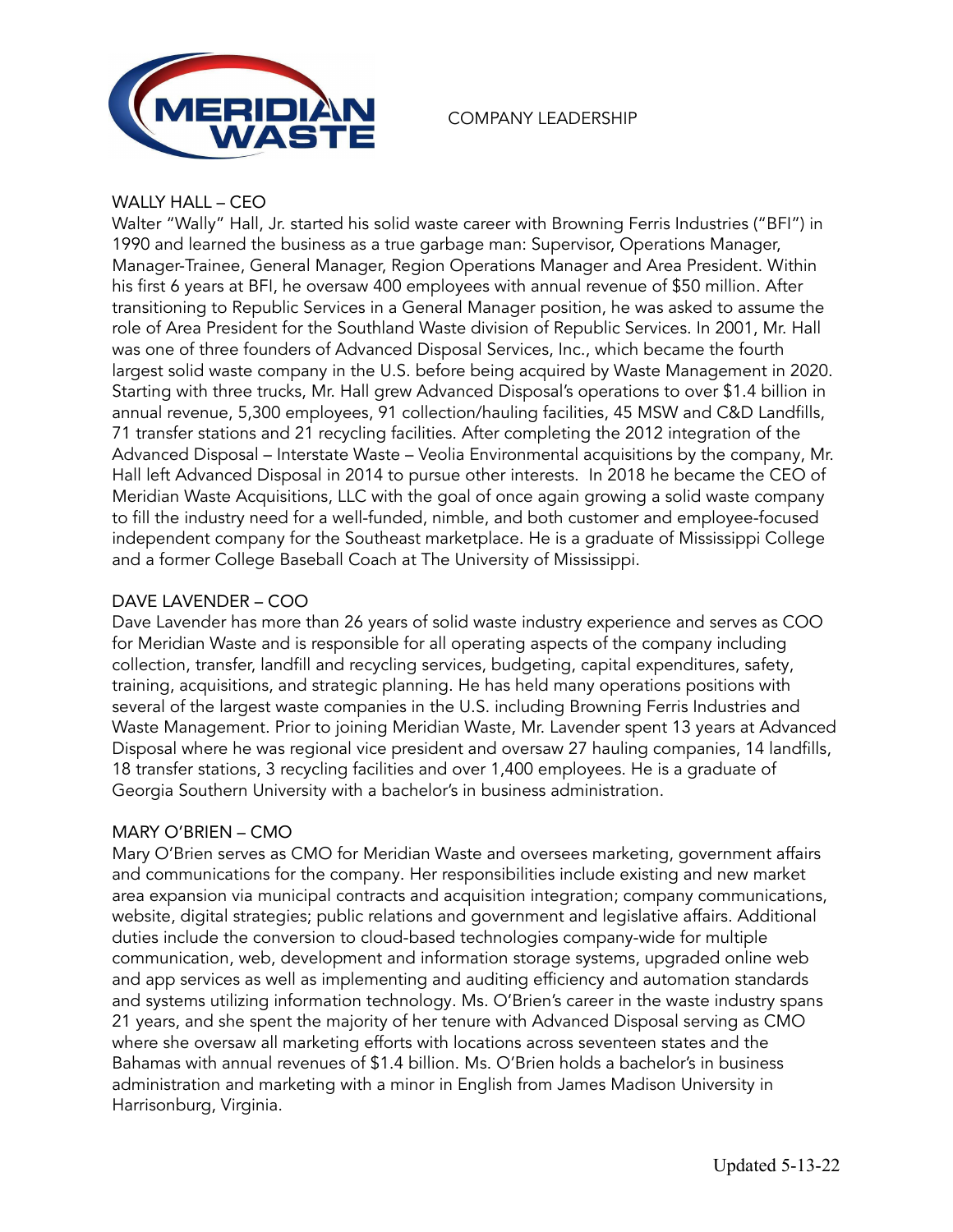

### COMPANY LEADERSHIP

### WALLY HALL – CEO

Walter "Wally" Hall, Jr. started his solid waste career with Browning Ferris Industries ("BFI") in 1990 and learned the business as a true garbage man: Supervisor, Operations Manager, Manager-Trainee, General Manager, Region Operations Manager and Area President. Within his first 6 years at BFI, he oversaw 400 employees with annual revenue of \$50 million. After transitioning to Republic Services in a General Manager position, he was asked to assume the role of Area President for the Southland Waste division of Republic Services. In 2001, Mr. Hall was one of three founders of Advanced Disposal Services, Inc., which became the fourth largest solid waste company in the U.S. before being acquired by Waste Management in 2020. Starting with three trucks, Mr. Hall grew Advanced Disposal's operations to over \$1.4 billion in annual revenue, 5,300 employees, 91 collection/hauling facilities, 45 MSW and C&D Landfills, 71 transfer stations and 21 recycling facilities. After completing the 2012 integration of the Advanced Disposal – Interstate Waste – Veolia Environmental acquisitions by the company, Mr. Hall left Advanced Disposal in 2014 to pursue other interests. In 2018 he became the CEO of Meridian Waste Acquisitions, LLC with the goal of once again growing a solid waste company to fill the industry need for a well-funded, nimble, and both customer and employee-focused independent company for the Southeast marketplace. He is a graduate of Mississippi College and a former College Baseball Coach at The University of Mississippi.

### DAVE LAVENDER – COO

Dave Lavender has more than 26 years of solid waste industry experience and serves as COO for Meridian Waste and is responsible for all operating aspects of the company including collection, transfer, landfill and recycling services, budgeting, capital expenditures, safety, training, acquisitions, and strategic planning. He has held many operations positions with several of the largest waste companies in the U.S. including Browning Ferris Industries and Waste Management. Prior to joining Meridian Waste, Mr. Lavender spent 13 years at Advanced Disposal where he was regional vice president and oversaw 27 hauling companies, 14 landfills, 18 transfer stations, 3 recycling facilities and over 1,400 employees. He is a graduate of Georgia Southern University with a bachelor's in business administration.

### MARY O'BRIEN – CMO

Mary O'Brien serves as CMO for Meridian Waste and oversees marketing, government affairs and communications for the company. Her responsibilities include existing and new market area expansion via municipal contracts and acquisition integration; company communications, website, digital strategies; public relations and government and legislative affairs. Additional duties include the conversion to cloud-based technologies company-wide for multiple communication, web, development and information storage systems, upgraded online web and app services as well as implementing and auditing efficiency and automation standards and systems utilizing information technology. Ms. O'Brien's career in the waste industry spans 21 years, and she spent the majority of her tenure with Advanced Disposal serving as CMO where she oversaw all marketing efforts with locations across seventeen states and the Bahamas with annual revenues of \$1.4 billion. Ms. O'Brien holds a bachelor's in business administration and marketing with a minor in English from James Madison University in Harrisonburg, Virginia.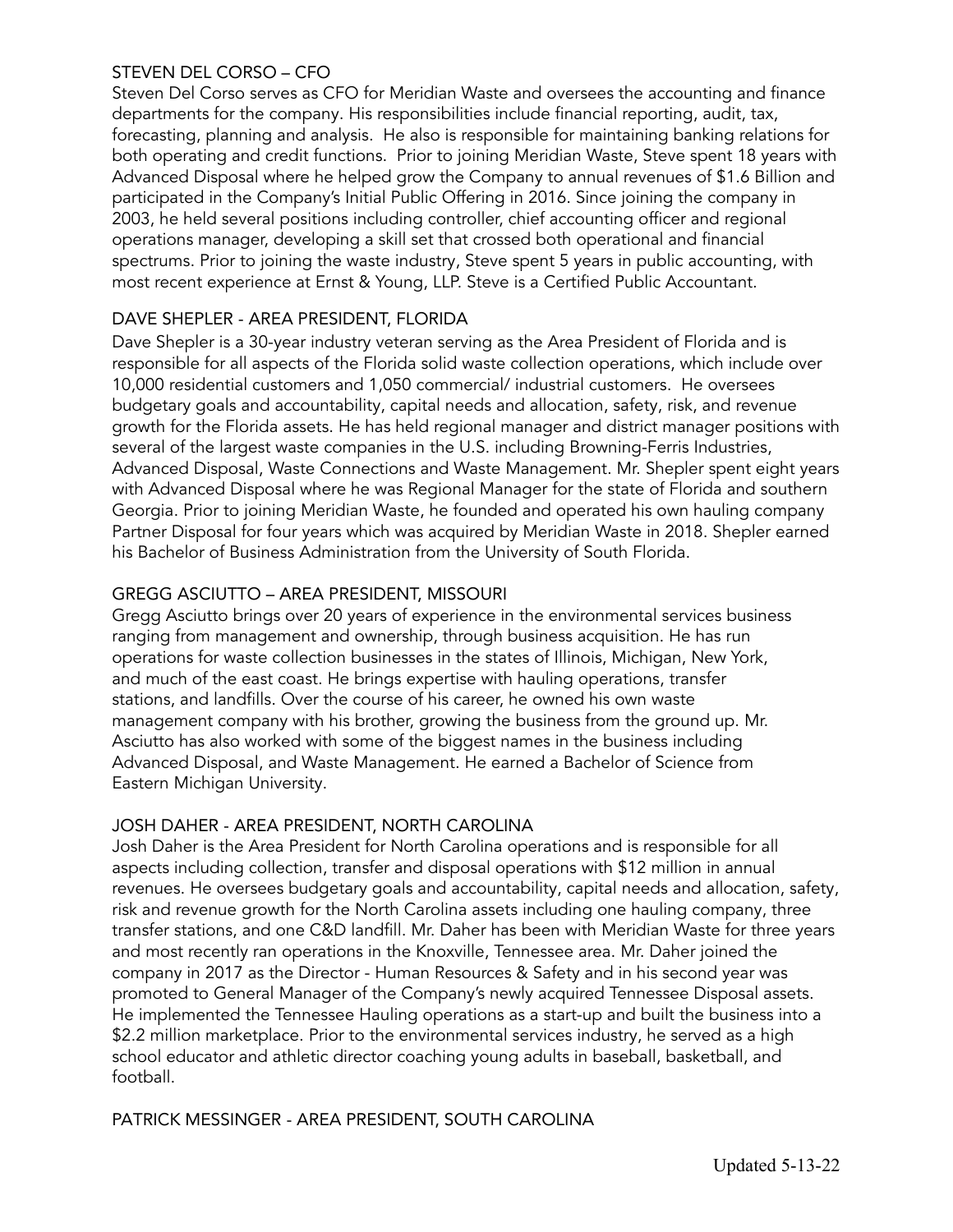## STEVEN DEL CORSO – CFO

Steven Del Corso serves as CFO for Meridian Waste and oversees the accounting and finance departments for the company. His responsibilities include financial reporting, audit, tax, forecasting, planning and analysis. He also is responsible for maintaining banking relations for both operating and credit functions. Prior to joining Meridian Waste, Steve spent 18 years with Advanced Disposal where he helped grow the Company to annual revenues of \$1.6 Billion and participated in the Company's Initial Public Offering in 2016. Since joining the company in 2003, he held several positions including controller, chief accounting officer and regional operations manager, developing a skill set that crossed both operational and financial spectrums. Prior to joining the waste industry, Steve spent 5 years in public accounting, with most recent experience at Ernst & Young, LLP. Steve is a Certified Public Accountant.

## DAVE SHEPLER - AREA PRESIDENT, FLORIDA

Dave Shepler is a 30-year industry veteran serving as the Area President of Florida and is responsible for all aspects of the Florida solid waste collection operations, which include over 10,000 residential customers and 1,050 commercial/ industrial customers. He oversees budgetary goals and accountability, capital needs and allocation, safety, risk, and revenue growth for the Florida assets. He has held regional manager and district manager positions with several of the largest waste companies in the U.S. including Browning-Ferris Industries, Advanced Disposal, Waste Connections and Waste Management. Mr. Shepler spent eight years with Advanced Disposal where he was Regional Manager for the state of Florida and southern Georgia. Prior to joining Meridian Waste, he founded and operated his own hauling company Partner Disposal for four years which was acquired by Meridian Waste in 2018. Shepler earned his Bachelor of Business Administration from the University of South Florida.

## GREGG ASCIUTTO – AREA PRESIDENT, MISSOURI

Gregg Asciutto brings over 20 years of experience in the environmental services business ranging from management and ownership, through business acquisition. He has run operations for waste collection businesses in the states of Illinois, Michigan, New York, and much of the east coast. He brings expertise with hauling operations, transfer stations, and landfills. Over the course of his career, he owned his own waste management company with his brother, growing the business from the ground up. Mr. Asciutto has also worked with some of the biggest names in the business including Advanced Disposal, and Waste Management. He earned a Bachelor of Science from Eastern Michigan University.

### JOSH DAHER - AREA PRESIDENT, NORTH CAROLINA

Josh Daher is the Area President for North Carolina operations and is responsible for all aspects including collection, transfer and disposal operations with \$12 million in annual revenues. He oversees budgetary goals and accountability, capital needs and allocation, safety, risk and revenue growth for the North Carolina assets including one hauling company, three transfer stations, and one C&D landfill. Mr. Daher has been with Meridian Waste for three years and most recently ran operations in the Knoxville, Tennessee area. Mr. Daher joined the company in 2017 as the Director - Human Resources & Safety and in his second year was promoted to General Manager of the Company's newly acquired Tennessee Disposal assets. He implemented the Tennessee Hauling operations as a start-up and built the business into a \$2.2 million marketplace. Prior to the environmental services industry, he served as a high school educator and athletic director coaching young adults in baseball, basketball, and football.

### PATRICK MESSINGER - AREA PRESIDENT, SOUTH CAROLINA